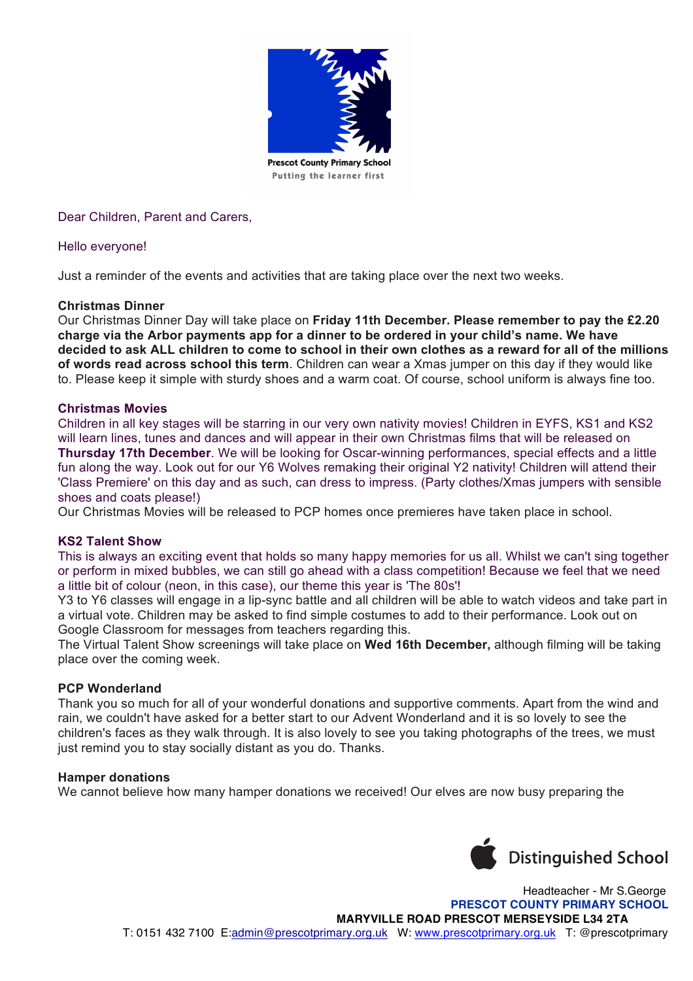

Dear Children, Parent and Carers,

## Hello everyone!

Just a reminder of the events and activities that are taking place over the next two weeks.

## **Christmas Dinner**

Our Christmas Dinner Day will take place on **Friday 11th December. Please remember to pay the £2.20 charge via the Arbor payments app for a dinner to be ordered in your child's name. We have decided to ask ALL children to come to school in their own clothes as a reward for all of the millions of words read across school this term**. Children can wear a Xmas jumper on this day if they would like to. Please keep it simple with sturdy shoes and a warm coat. Of course, school uniform is always fine too.

## **Christmas Movies**

Children in all key stages will be starring in our very own nativity movies! Children in EYFS, KS1 and KS2 will learn lines, tunes and dances and will appear in their own Christmas films that will be released on **Thursday 17th December**. We will be looking for Oscar-winning performances, special effects and a little fun along the way. Look out for our Y6 Wolves remaking their original Y2 nativity! Children will attend their 'Class Premiere' on this day and as such, can dress to impress. (Party clothes/Xmas jumpers with sensible shoes and coats please!)

Our Christmas Movies will be released to PCP homes once premieres have taken place in school.

### **KS2 Talent Show**

This is always an exciting event that holds so many happy memories for us all. Whilst we can't sing together or perform in mixed bubbles, we can still go ahead with a class competition! Because we feel that we need a little bit of colour (neon, in this case), our theme this year is 'The 80s'!

Y3 to Y6 classes will engage in a lip-sync battle and all children will be able to watch videos and take part in a virtual vote. Children may be asked to find simple costumes to add to their performance. Look out on Google Classroom for messages from teachers regarding this.

The Virtual Talent Show screenings will take place on **Wed 16th December,** although filming will be taking place over the coming week.

# **PCP Wonderland**

Thank you so much for all of your wonderful donations and supportive comments. Apart from the wind and rain, we couldn't have asked for a better start to our Advent Wonderland and it is so lovely to see the children's faces as they walk through. It is also lovely to see you taking photographs of the trees, we must just remind you to stay socially distant as you do. Thanks.

### **Hamper donations**

We cannot believe how many hamper donations we received! Our elves are now busy preparing the



 Headteacher - Mr S.George  **PRESCOT COUNTY PRIMARY SCHOOL MARYVILLE ROAD PRESCOT MERSEYSIDE L34 2TA** T: 0151 432 7100 E:admin@prescotprimary.org.uk W: www.prescotprimary.org.uk T: @prescotprimary